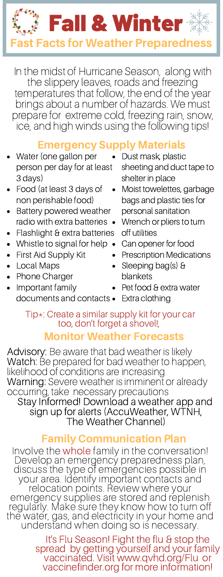

In the midst of Hurricane Season, along with the slippery leaves, roads and freezing temperatures that follow, the end of the year brings about a number of hazards. We must prepare for extreme cold, freezing rain, snow, ice, and high winds using the following tips!

# Emergency Supply Materials

- Water (one gallon per person per day for at least 3 days)
- Food (at least 3 days of non perishable food)
- Battery powered weather radio with extra batteries •
- Flashlight & extra batteries
- Whistle to signal for help •
- First Aid Supply Kit
- Local Maps
- Phone Charger
- Important family
- Dust mask, plastic sheeting and duct tape to shelter in place
- Moist towelettes, garbage bags and plastic ties for personal sanitation
- Wrench or pliers to turn off utilities
- Can opener for food
- Prescription Medications
- Sleeping bag(s) & blankets
- Pet food & extra water

documents and contacts Extra clothing

# Tip\*: Create a similar supply kit for your car too, don't forget a shovel!,

# Monitor Weather Forecasts

Advisory: Be aware that bad weather is likely Watch: Be prepared for bad weather to happen, likelihood of conditions are increasing Warning: Severe weather is imminent or already occurring, take necessary precautions Stay Informed! Download a weather app and sign up for alerts (AccuWeather, WTNH, The Weather Channel)

### Family Communication Plan

Involve the whole family in the conversation! Develop an emergency preparedness plan, discuss the type of emergencies possible in your area. Identify important contacts and relocation points. Review where your emergency supplies are stored and replenish regularly. Make sure they know how to turn off the water, gas, and electricity in your home and understand when doing so is necessary.

> It's Flu Season! Fight the flu & stop the spread by getting yourself and your family vaccinated. Visit www.qvhd.org/Flu or vaccinefinder.org for more information!